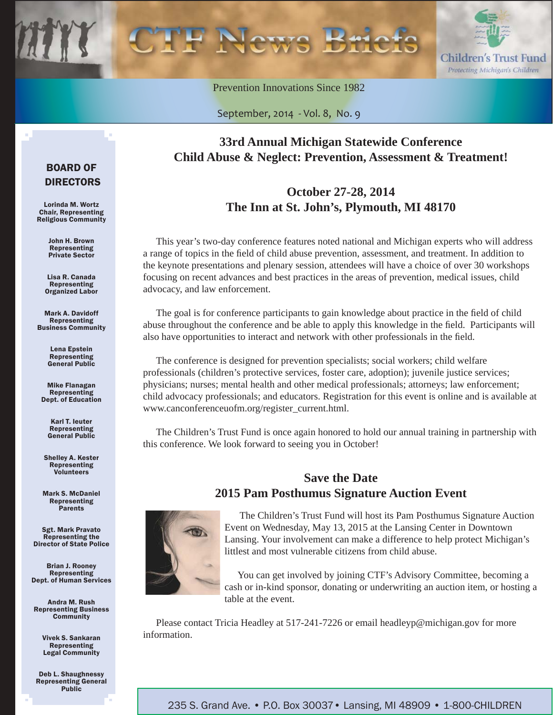

Prevention Innovations Since 1982

September, 2014 - Vol. 8, No. 9

### **33rd Annual Michigan Statewide Conference Child Abuse & Neglect: Prevention, Assessment & Treatment!**

### **October 27-28, 2014 The Inn at St. John's, Plymouth, MI 48170**

This year's two-day conference features noted national and Michigan experts who will address a range of topics in the field of child abuse prevention, assessment, and treatment. In addition to the keynote presentations and plenary session, attendees will have a choice of over 30 workshops focusing on recent advances and best practices in the areas of prevention, medical issues, child advocacy, and law enforcement.

The goal is for conference participants to gain knowledge about practice in the field of child abuse throughout the conference and be able to apply this knowledge in the field. Participants will also have opportunities to interact and network with other professionals in the field.

The conference is designed for prevention specialists; social workers; child welfare professionals (children's protective services, foster care, adoption); juvenile justice services; physicians; nurses; mental health and other medical professionals; attorneys; law enforcement; child advocacy professionals; and educators. Registration for this event is online and is available at www.canconferenceuofm.org/register\_current.html.

The Children's Trust Fund is once again honored to hold our annual training in partnership with this conference. We look forward to seeing you in October!

### **Save the Date 2015 Pam Posthumus Signature Auction Event**



The Children's Trust Fund will host its Pam Posthumus Signature Auction Event on Wednesday, May 13, 2015 at the Lansing Center in Downtown Lansing. Your involvement can make a difference to help protect Michigan's littlest and most vulnerable citizens from child abuse.

You can get involved by joining CTF's Advisory Committee, becoming a cash or in-kind sponsor, donating or underwriting an auction item, or hosting a table at the event.

Please contact Tricia Headley at 517-241-7226 or email headleyp@michigan.gov for more information.

#### BOARD OF DIRECTORS

Lorinda M. Wortz Chair, Representing Religious Community

> John H. Brown Representing Private Sector

Lisa R. Canada Representing Organized Labor

Mark A. Davidoff Representing Business Community

> Lena Epstein Representing General Public

Mike Flanagan Representing Dept. of Education

> Karl T. Ieuter Representing General Public

Shelley A. Kester Representing Volunteers

Mark S. McDaniel Representing Parents

Sgt. Mark Pravato Representing the Director of State Police

Brian J. Rooney Representing Dept. of Human Services

Andra M. Rush Representing Business **Community** 

> Vivek S. Sankaran Representing Legal Community

Deb L. Shaughnessy Representing General Public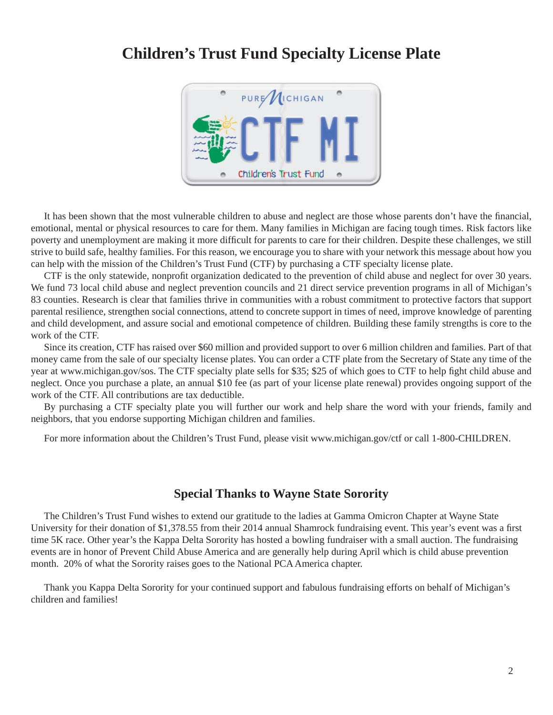### **Children's Trust Fund Specialty License Plate**



It has been shown that the most vulnerable children to abuse and neglect are those whose parents don't have the financial, emotional, mental or physical resources to care for them. Many families in Michigan are facing tough times. Risk factors like poverty and unemployment are making it more difficult for parents to care for their children. Despite these challenges, we still strive to build safe, healthy families. For this reason, we encourage you to share with your network this message about how you can help with the mission of the Children's Trust Fund (CTF) by purchasing a CTF specialty license plate.

CTF is the only statewide, nonprofi t organization dedicated to the prevention of child abuse and neglect for over 30 years. We fund 73 local child abuse and neglect prevention councils and 21 direct service prevention programs in all of Michigan's 83 counties. Research is clear that families thrive in communities with a robust commitment to protective factors that support parental resilience, strengthen social connections, attend to concrete support in times of need, improve knowledge of parenting and child development, and assure social and emotional competence of children. Building these family strengths is core to the work of the CTF.

Since its creation, CTF has raised over \$60 million and provided support to over 6 million children and families. Part of that money came from the sale of our specialty license plates. You can order a CTF plate from the Secretary of State any time of the year at www.michigan.gov/sos. The CTF specialty plate sells for \$35; \$25 of which goes to CTF to help fight child abuse and neglect. Once you purchase a plate, an annual \$10 fee (as part of your license plate renewal) provides ongoing support of the work of the CTF. All contributions are tax deductible.

By purchasing a CTF specialty plate you will further our work and help share the word with your friends, family and neighbors, that you endorse supporting Michigan children and families.

For more information about the Children's Trust Fund, please visit www.michigan.gov/ctf or call 1-800-CHILDREN.

#### **Special Thanks to Wayne State Sorority**

The Children's Trust Fund wishes to extend our gratitude to the ladies at Gamma Omicron Chapter at Wayne State University for their donation of \$1,378.55 from their 2014 annual Shamrock fundraising event. This year's event was a first time 5K race. Other year's the Kappa Delta Sorority has hosted a bowling fundraiser with a small auction. The fundraising events are in honor of Prevent Child Abuse America and are generally help during April which is child abuse prevention month. 20% of what the Sorority raises goes to the National PCA America chapter.

Thank you Kappa Delta Sorority for your continued support and fabulous fundraising efforts on behalf of Michigan's children and families!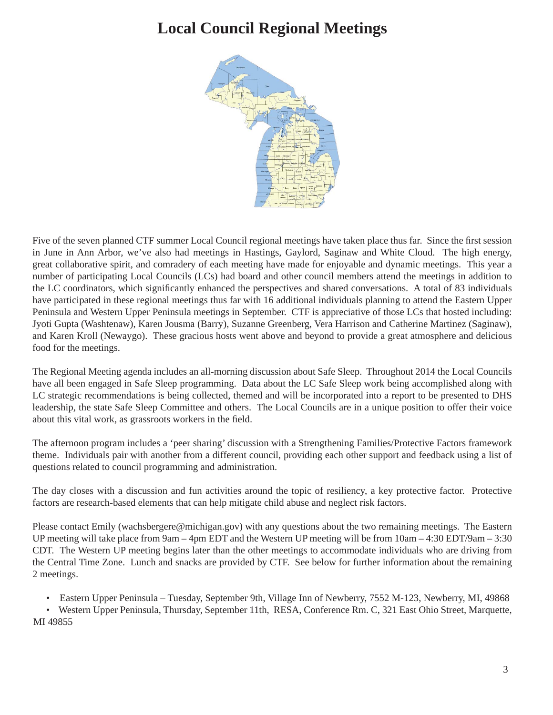# **Local Council Regional Meetings**



Five of the seven planned CTF summer Local Council regional meetings have taken place thus far. Since the first session in June in Ann Arbor, we've also had meetings in Hastings, Gaylord, Saginaw and White Cloud. The high energy, great collaborative spirit, and comradery of each meeting have made for enjoyable and dynamic meetings. This year a number of participating Local Councils (LCs) had board and other council members attend the meetings in addition to the LC coordinators, which significantly enhanced the perspectives and shared conversations. A total of 83 individuals have participated in these regional meetings thus far with 16 additional individuals planning to attend the Eastern Upper Peninsula and Western Upper Peninsula meetings in September. CTF is appreciative of those LCs that hosted including: Jyoti Gupta (Washtenaw), Karen Jousma (Barry), Suzanne Greenberg, Vera Harrison and Catherine Martinez (Saginaw), and Karen Kroll (Newaygo). These gracious hosts went above and beyond to provide a great atmosphere and delicious food for the meetings.

The Regional Meeting agenda includes an all-morning discussion about Safe Sleep. Throughout 2014 the Local Councils have all been engaged in Safe Sleep programming. Data about the LC Safe Sleep work being accomplished along with LC strategic recommendations is being collected, themed and will be incorporated into a report to be presented to DHS leadership, the state Safe Sleep Committee and others. The Local Councils are in a unique position to offer their voice about this vital work, as grassroots workers in the field.

The afternoon program includes a 'peer sharing' discussion with a Strengthening Families/Protective Factors framework theme. Individuals pair with another from a different council, providing each other support and feedback using a list of questions related to council programming and administration.

The day closes with a discussion and fun activities around the topic of resiliency, a key protective factor. Protective factors are research-based elements that can help mitigate child abuse and neglect risk factors.

Please contact Emily (wachsbergere@michigan.gov) with any questions about the two remaining meetings. The Eastern UP meeting will take place from 9am – 4pm EDT and the Western UP meeting will be from 10am – 4:30 EDT/9am – 3:30 CDT. The Western UP meeting begins later than the other meetings to accommodate individuals who are driving from the Central Time Zone. Lunch and snacks are provided by CTF. See below for further information about the remaining 2 meetings.

• Eastern Upper Peninsula – Tuesday, September 9th, Village Inn of Newberry, 7552 M-123, Newberry, MI, 49868

• Western Upper Peninsula, Thursday, September 11th, RESA, Conference Rm. C, 321 East Ohio Street, Marquette, MI 49855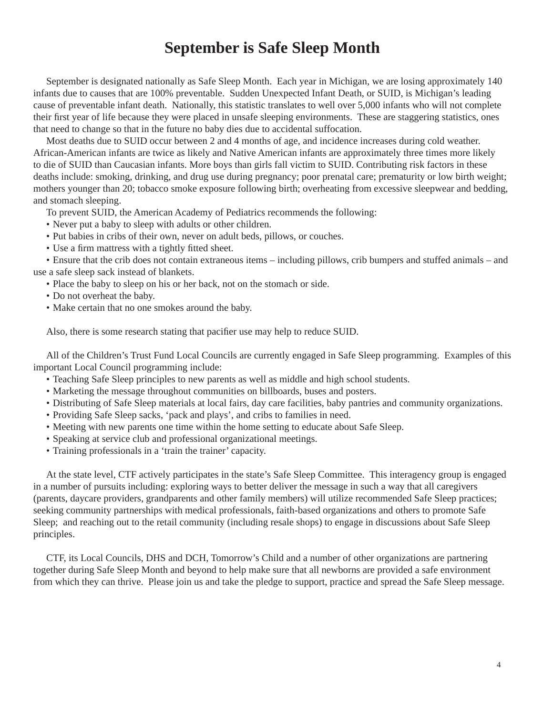### **September is Safe Sleep Month**

September is designated nationally as Safe Sleep Month. Each year in Michigan, we are losing approximately 140 infants due to causes that are 100% preventable. Sudden Unexpected Infant Death, or SUID, is Michigan's leading cause of preventable infant death. Nationally, this statistic translates to well over 5,000 infants who will not complete their first year of life because they were placed in unsafe sleeping environments. These are staggering statistics, ones that need to change so that in the future no baby dies due to accidental suffocation.

Most deaths due to SUID occur between 2 and 4 months of age, and incidence increases during cold weather. African-American infants are twice as likely and Native American infants are approximately three times more likely to die of SUID than Caucasian infants. More boys than girls fall victim to SUID. Contributing risk factors in these deaths include: smoking, drinking, and drug use during pregnancy; poor prenatal care; prematurity or low birth weight; mothers younger than 20; tobacco smoke exposure following birth; overheating from excessive sleepwear and bedding, and stomach sleeping.

To prevent SUID, the American Academy of Pediatrics recommends the following:

- Never put a baby to sleep with adults or other children.
- Put babies in cribs of their own, never on adult beds, pillows, or couches.
- Use a firm mattress with a tightly fitted sheet.

• Ensure that the crib does not contain extraneous items – including pillows, crib bumpers and stuffed animals – and use a safe sleep sack instead of blankets.

- Place the baby to sleep on his or her back, not on the stomach or side.
- Do not overheat the baby.
- Make certain that no one smokes around the baby.

Also, there is some research stating that pacifier use may help to reduce SUID.

All of the Children's Trust Fund Local Councils are currently engaged in Safe Sleep programming. Examples of this important Local Council programming include:

- Teaching Safe Sleep principles to new parents as well as middle and high school students.
- Marketing the message throughout communities on billboards, buses and posters.
- Distributing of Safe Sleep materials at local fairs, day care facilities, baby pantries and community organizations.
- Providing Safe Sleep sacks, 'pack and plays', and cribs to families in need.
- Meeting with new parents one time within the home setting to educate about Safe Sleep.
- Speaking at service club and professional organizational meetings.
- Training professionals in a 'train the trainer' capacity.

At the state level, CTF actively participates in the state's Safe Sleep Committee. This interagency group is engaged in a number of pursuits including: exploring ways to better deliver the message in such a way that all caregivers (parents, daycare providers, grandparents and other family members) will utilize recommended Safe Sleep practices; seeking community partnerships with medical professionals, faith-based organizations and others to promote Safe Sleep; and reaching out to the retail community (including resale shops) to engage in discussions about Safe Sleep principles.

CTF, its Local Councils, DHS and DCH, Tomorrow's Child and a number of other organizations are partnering together during Safe Sleep Month and beyond to help make sure that all newborns are provided a safe environment from which they can thrive. Please join us and take the pledge to support, practice and spread the Safe Sleep message.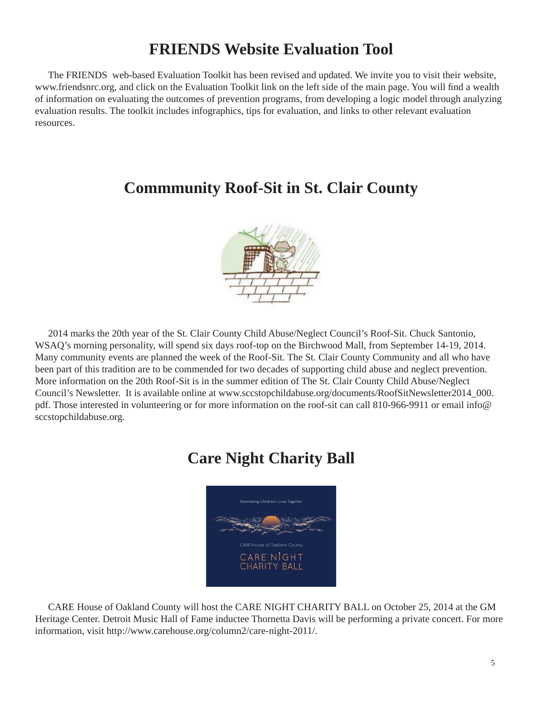# **FRIENDS Website Evaluation Tool**

The FRIENDS web-based Evaluation Toolkit has been revised and updated. We invite you to visit their website, www.friendsnrc.org, and click on the Evaluation Toolkit link on the left side of the main page. You will find a wealth of information on evaluating the outcomes of prevention programs, from developing a logic model through analyzing evaluation results. The toolkit includes infographics, tips for evaluation, and links to other relevant evaluation resources.

### **Commmunity Roof-Sit in St. Clair County**



2014 marks the 20th year of the St. Clair County Child Abuse/Neglect Council's Roof-Sit. Chuck Santonio, WSAQ's morning personality, will spend six days roof-top on the Birchwood Mall, from September 14-19, 2014. Many community events are planned the week of the Roof-Sit. The St. Clair County Community and all who have been part of this tradition are to be commended for two decades of supporting child abuse and neglect prevention. More information on the 20th Roof-Sit is in the summer edition of The St. Clair County Child Abuse/Neglect Council's Newsletter. It is available online at [www.sccstopchildabuse.org/documents/RoofSitNewsletter2014\\_000.](http://www.sccstopchildabuse.org/documents/RoofSitNewsletter2014_000.pdf) pdf. Those interested in volunteering or for more information on the roof-sit can call 810-966-9911 or email info@ sccstopchildabuse.org.

# **Care Night Charity Ball**



CARE House of Oakland County will host the CARE NIGHT CHARITY BALL on October 25, 2014 at the GM Heritage Center. Detroit Music Hall of Fame inductee Thornetta Davis will be performing a private concert. For more information, visit http://www.carehouse.org/column2/care-night-2011/.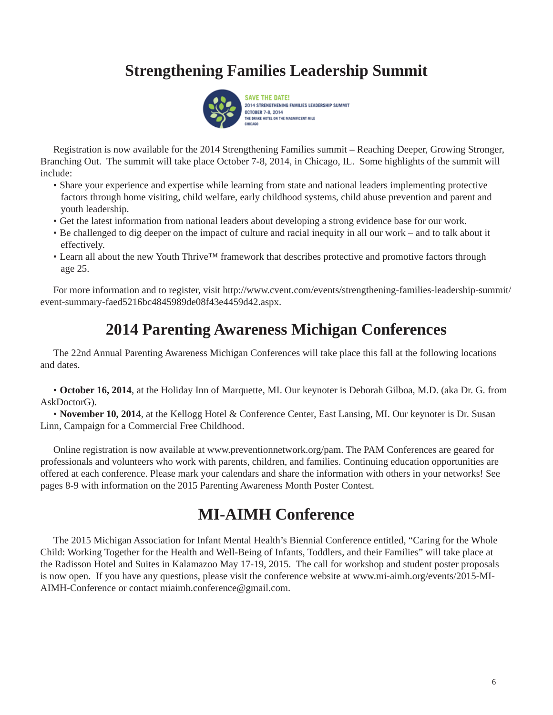# **Strengthening Families Leadership Summit**



Registration is now available for the 2014 Strengthening Families summit – Reaching Deeper, Growing Stronger, Branching Out. The summit will take place October 7-8, 2014, in Chicago, IL. Some highlights of the summit will include:

- Share your experience and expertise while learning from state and national leaders implementing protective factors through home visiting, child welfare, early childhood systems, child abuse prevention and parent and youth leadership.
- Get the latest information from national leaders about developing a strong evidence base for our work.
- Be challenged to dig deeper on the impact of culture and racial inequity in all our work and to talk about it effectively.
- Learn all about the new Youth Thrive™ framework that describes protective and promotive factors through age 25.

[For more information and to register, visit http://www.cvent.com/events/strengthening-families-leadership-summit/](http://www.cvent.com/events/strengthening-families-leadership-summit/event-summary-faed5216bc4845989de08f43e4459d42.aspx) event-summary-faed5216bc4845989de08f43e4459d42.aspx.

### **2014 Parenting Awareness Michigan Conferences**

The 22nd Annual Parenting Awareness Michigan Conferences will take place this fall at the following locations and dates.

• **October 16, 2014**, at the Holiday Inn of Marquette, MI. Our keynoter is Deborah Gilboa, M.D. (aka Dr. G. from AskDoctorG).

• **November 10, 2014**, at the Kellogg Hotel & Conference Center, East Lansing, MI. Our keynoter is Dr. Susan Linn, Campaign for a Commercial Free Childhood.

Online registration is now available at www.preventionnetwork.org/pam. The PAM Conferences are geared for professionals and volunteers who work with parents, children, and families. Continuing education opportunities are offered at each conference. Please mark your calendars and share the information with others in your networks! See pages 8-9 with information on the 2015 Parenting Awareness Month Poster Contest.

### **MI-AIMH Conference**

The 2015 Michigan Association for Infant Mental Health's Biennial Conference entitled, "Caring for the Whole Child: Working Together for the Health and Well-Being of Infants, Toddlers, and their Families" will take place at the Radisson Hotel and Suites in Kalamazoo May 17-19, 2015. The call for workshop and student poster proposals is now open. If you have any questions, please visit the conference website at www.mi-aimh.org/events/2015-MI-AIMH-Conference or contact miaimh.conference@gmail.com.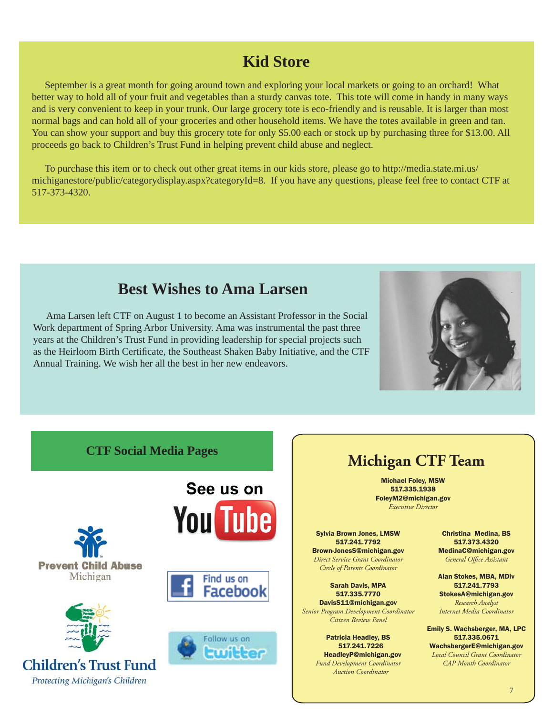# **Kid Store**

September is a great month for going around town and exploring your local markets or going to an orchard! What better way to hold all of your fruit and vegetables than a sturdy canvas tote. This tote will come in handy in many ways and is very convenient to keep in your trunk. Our large grocery tote is eco-friendly and is reusable. It is larger than most normal bags and can hold all of your groceries and other household items. We have the totes available in green and tan. You can show your support and buy this grocery tote for only \$5.00 each or stock up by purchasing three for \$13.00. All proceeds go back to Children's Trust Fund in helping prevent child abuse and neglect.

[To purchase this item or to check out other great items in our kids store, please go to http://media.state.mi.us/](http://media.state.mi.us/michiganestore/public/categorydisplay.aspx?categoryId=8) michiganestore/public/categorydisplay.aspx?categoryId=8. If you have any questions, please feel free to contact CTF at 517-373-4320.

### **Best Wishes to Ama Larsen**

Ama Larsen left CTF on August 1 to become an Assistant Professor in the Social Work department of Spring Arbor University. Ama was instrumental the past three years at the Children's Trust Fund in providing leadership for special projects such as the Heirloom Birth Certificate, the Southeast Shaken Baby Initiative, and the CTF Annual Training. We wish her all the best in her new endeavors.



#### **CTF Social Media Pages**







**Children's Trust Fund** Protecting Michigan's Children







# **Michigan CTF Team**

Michael Foley, MSW 517.335.1938 FoleyM2@michigan.gov *Executive Director*

Sylvia Brown Jones, LMSW 517.241.7792 Brown-JonesS@michigan.gov

*Direct Service Grant Coordinator Circle of Parents Coordinator*

Sarah Davis, MPA 517.335.7770 DavisS11@michigan.gov

*Senior Program Development Coordinator Citizen Review Panel*

> Patricia Headley, BS 517.241.7226 HeadleyP@michigan.gov *Fund Development Coordinator Auction Coordinator*

Christina Medina, BS 517.373.4320 MedinaC@michigan.gov General Office Assistant

Alan Stokes, MBA, MDiv 517.241.7793 StokesA@michigan.gov *Research Analyst*

*Internet Media Coordinator*

Emily S. Wachsberger, MA, LPC 517.335.0671 WachsbergerE@michigan.gov *Local Council Grant Coordinator CAP Month Coordinator*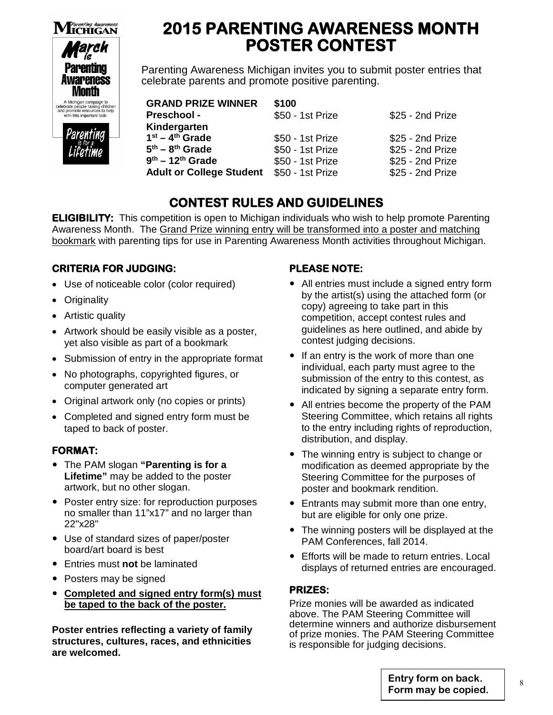

# **2015 PARENTING AWARENESS MONTH POSTER CONTEST**

Parenting Awareness Michigan invites you to submit poster entries that celebrate parents and promote positive parenting.

| <b>GRAND PRIZE WINNER</b>       | \$100            |                  |
|---------------------------------|------------------|------------------|
| <b>Preschool -</b>              | \$50 - 1st Prize | \$25 - 2nd Prize |
| Kindergarten                    |                  |                  |
| $1st - 4th$ Grade               | \$50 - 1st Prize | \$25 - 2nd Prize |
| $5th - 8th$ Grade               | \$50 - 1st Prize | \$25 - 2nd Prize |
| $9th - 12th$ Grade              | \$50 - 1st Prize | \$25 - 2nd Prize |
| <b>Adult or College Student</b> | \$50 - 1st Prize | \$25 - 2nd Prize |

### **CONTEST RULES AND GUIDELINES**

**ELIGIBILITY:** This competition is open to Michigan individuals who wish to help promote Parenting Awareness Month. The Grand Prize winning entry will be transformed into a poster and matching bookmark with parenting tips for use in Parenting Awareness Month activities throughout Michigan.

#### **CRITERIA FOR JUDGING:**

- Use of noticeable color (color required)
- Originality
- Artistic quality
- Artwork should be easily visible as a poster, yet also visible as part of a bookmark
- Submission of entry in the appropriate format
- No photographs, copyrighted figures, or computer generated art
- Original artwork only (no copies or prints)
- Completed and signed entry form must be taped to back of poster.

#### **FORMAT:**

- The PAM slogan **"Parenting is for a Lifetime"** may be added to the poster artwork, but no other slogan.
- Poster entry size: for reproduction purposes no smaller than 11"x17" and no larger than 22"x28"
- Use of standard sizes of paper/poster board/art board is best
- Entries must **not** be laminated
- Posters may be signed
- **Completed and signed entry form(s) must be taped to the back of the poster.**

**Poster entries reflecting a variety of family structures, cultures, races, and ethnicities are welcomed.** 

#### **PLEASE NOTE:**

- All entries must include a signed entry form by the artist(s) using the attached form (or copy) agreeing to take part in this competition, accept contest rules and guidelines as here outlined, and abide by contest judging decisions.
- If an entry is the work of more than one individual, each party must agree to the submission of the entry to this contest, as indicated by signing a separate entry form.
- All entries become the property of the PAM Steering Committee, which retains all rights to the entry including rights of reproduction, distribution, and display.
- The winning entry is subject to change or modification as deemed appropriate by the Steering Committee for the purposes of poster and bookmark rendition.
- Entrants may submit more than one entry, but are eligible for only one prize.
- The winning posters will be displayed at the PAM Conferences, fall 2014.
- Efforts will be made to return entries. Local displays of returned entries are encouraged.

#### **PRIZES:**

Prize monies will be awarded as indicated above. The PAM Steering Committee will determine winners and authorize disbursement of prize monies. The PAM Steering Committee is responsible for judging decisions.